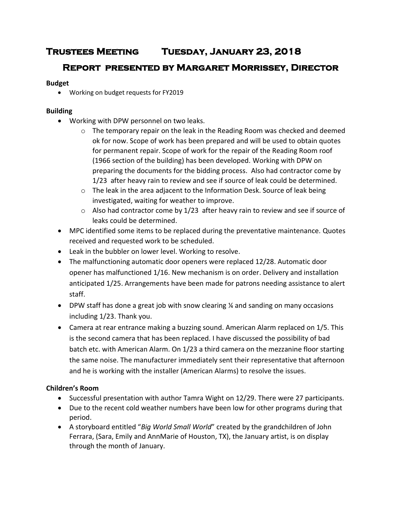# **Trustees Meeting Tuesday, January 23, 2018**

# **Report presented by Margaret Morrissey, Director**

### **Budget**

Working on budget requests for FY2019

## **Building**

- Working with DPW personnel on two leaks.
	- $\circ$  The temporary repair on the leak in the Reading Room was checked and deemed ok for now. Scope of work has been prepared and will be used to obtain quotes for permanent repair. Scope of work for the repair of the Reading Room roof (1966 section of the building) has been developed. Working with DPW on preparing the documents for the bidding process. Also had contractor come by 1/23 after heavy rain to review and see if source of leak could be determined.
	- o The leak in the area adjacent to the Information Desk. Source of leak being investigated, waiting for weather to improve.
	- $\circ$  Also had contractor come by 1/23 after heavy rain to review and see if source of leaks could be determined.
- MPC identified some items to be replaced during the preventative maintenance. Quotes received and requested work to be scheduled.
- Leak in the bubbler on lower level. Working to resolve.
- The malfunctioning automatic door openers were replaced 12/28. Automatic door opener has malfunctioned 1/16. New mechanism is on order. Delivery and installation anticipated 1/25. Arrangements have been made for patrons needing assistance to alert staff.
- DPW staff has done a great job with snow clearing ¼ and sanding on many occasions including 1/23. Thank you.
- Camera at rear entrance making a buzzing sound. American Alarm replaced on 1/5. This is the second camera that has been replaced. I have discussed the possibility of bad batch etc. with American Alarm. On 1/23 a third camera on the mezzanine floor starting the same noise. The manufacturer immediately sent their representative that afternoon and he is working with the installer (American Alarms) to resolve the issues.

## **Children's Room**

- Successful presentation with author Tamra Wight on 12/29. There were 27 participants.
- Due to the recent cold weather numbers have been low for other programs during that period.
- A storyboard entitled "*Big World Small World*" created by the grandchildren of John Ferrara, (Sara, Emily and AnnMarie of Houston, TX), the January artist, is on display through the month of January.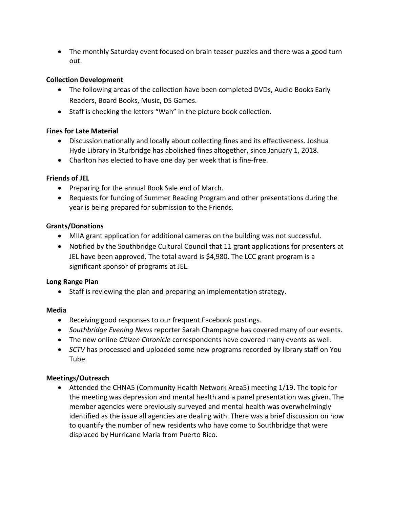• The monthly Saturday event focused on brain teaser puzzles and there was a good turn out.

#### **Collection Development**

- The following areas of the collection have been completed DVDs, Audio Books Early Readers, Board Books, Music, DS Games.
- Staff is checking the letters "Wah" in the picture book collection.

#### **Fines for Late Material**

- Discussion nationally and locally about collecting fines and its effectiveness. Joshua Hyde Library in Sturbridge has abolished fines altogether, since January 1, 2018.
- Charlton has elected to have one day per week that is fine-free.

#### **Friends of JEL**

- Preparing for the annual Book Sale end of March.
- Requests for funding of Summer Reading Program and other presentations during the year is being prepared for submission to the Friends.

#### **Grants/Donations**

- MIIA grant application for additional cameras on the building was not successful.
- Notified by the Southbridge Cultural Council that 11 grant applications for presenters at JEL have been approved. The total award is \$4,980. The LCC grant program is a significant sponsor of programs at JEL.

#### **Long Range Plan**

• Staff is reviewing the plan and preparing an implementation strategy.

#### **Media**

- Receiving good responses to our frequent Facebook postings.
- *Southbridge Evening News* reporter Sarah Champagne has covered many of our events.
- The new online *Citizen Chronicle* correspondents have covered many events as well.
- *SCTV* has processed and uploaded some new programs recorded by library staff on You Tube.

#### **Meetings/Outreach**

 Attended the CHNA5 (Community Health Network Area5) meeting 1/19. The topic for the meeting was depression and mental health and a panel presentation was given. The member agencies were previously surveyed and mental health was overwhelmingly identified as the issue all agencies are dealing with. There was a brief discussion on how to quantify the number of new residents who have come to Southbridge that were displaced by Hurricane Maria from Puerto Rico.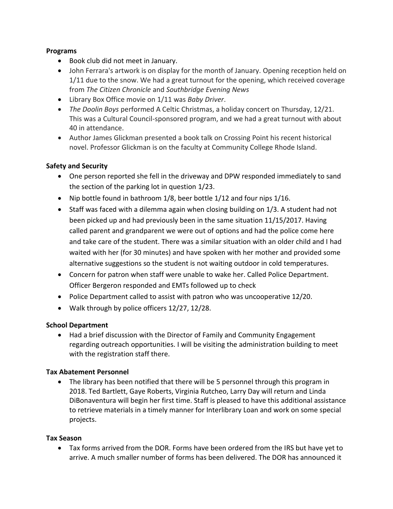#### **Programs**

- Book club did not meet in January.
- John Ferrara's artwork is on display for the month of January. Opening reception held on 1/11 due to the snow. We had a great turnout for the opening, which received coverage from *The Citizen Chronicle* and *Southbridge Evening News*
- Library Box Office movie on 1/11 was *Baby Driver*.
- *The Doolin Boys* performed A Celtic Christmas, a holiday concert on Thursday, 12/21. This was a Cultural Council-sponsored program, and we had a great turnout with about 40 in attendance.
- Author James Glickman presented a book talk on Crossing Point his recent historical novel. Professor Glickman is on the faculty at Community College Rhode Island.

#### **Safety and Security**

- One person reported she fell in the driveway and DPW responded immediately to sand the section of the parking lot in question 1/23.
- Nip bottle found in bathroom 1/8, beer bottle 1/12 and four nips 1/16.
- $\bullet$  Staff was faced with a dilemma again when closing building on 1/3. A student had not been picked up and had previously been in the same situation 11/15/2017. Having called parent and grandparent we were out of options and had the police come here and take care of the student. There was a similar situation with an older child and I had waited with her (for 30 minutes) and have spoken with her mother and provided some alternative suggestions so the student is not waiting outdoor in cold temperatures.
- Concern for patron when staff were unable to wake her. Called Police Department. Officer Bergeron responded and EMTs followed up to check
- Police Department called to assist with patron who was uncooperative 12/20.
- Walk through by police officers 12/27, 12/28.

#### **School Department**

 Had a brief discussion with the Director of Family and Community Engagement regarding outreach opportunities. I will be visiting the administration building to meet with the registration staff there.

#### **Tax Abatement Personnel**

• The library has been notified that there will be 5 personnel through this program in 2018. Ted Bartlett, Gaye Roberts, Virginia Rutcheo, Larry Day will return and Linda DiBonaventura will begin her first time. Staff is pleased to have this additional assistance to retrieve materials in a timely manner for Interlibrary Loan and work on some special projects.

#### **Tax Season**

 Tax forms arrived from the DOR. Forms have been ordered from the IRS but have yet to arrive. A much smaller number of forms has been delivered. The DOR has announced it